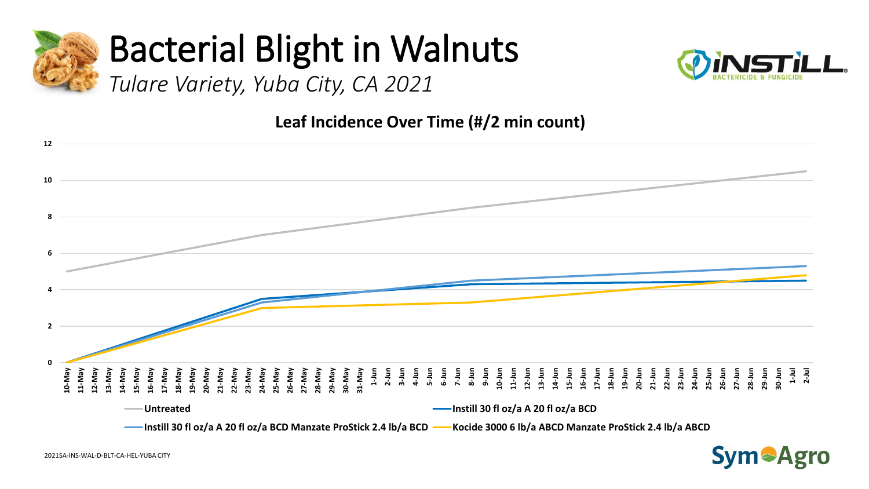

*Tulare Variety, Yuba City, CA 2021* 



**Leaf Incidence Over Time (#/2 min count)**



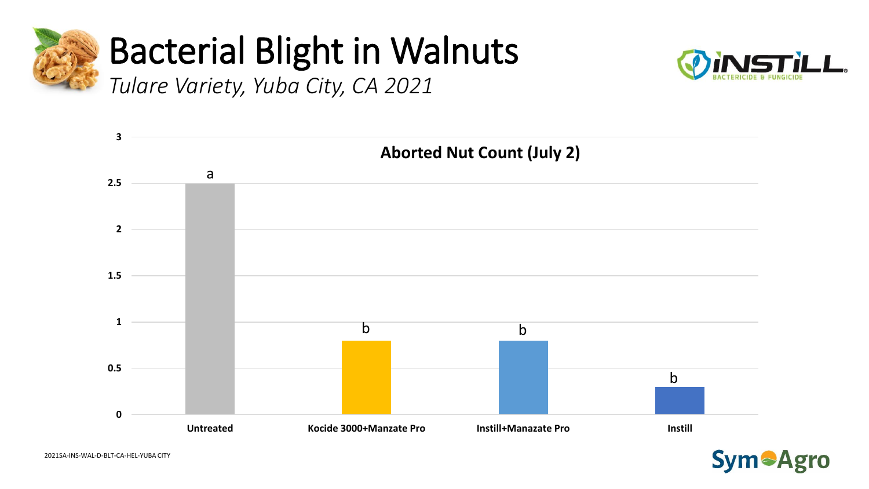



*Tulare Variety, Yuba City, CA 2021* 



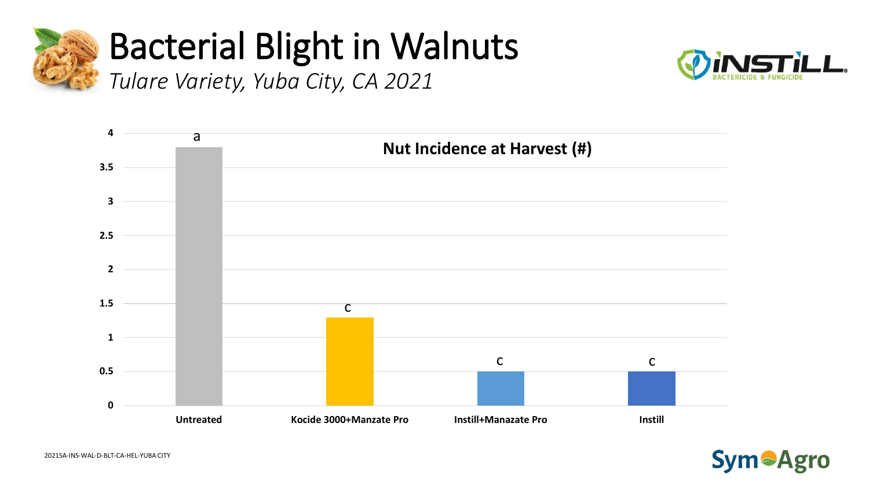

#### **Bacterial Blight in Walnuts** Tulare Variety, Yuba City, CA 2021





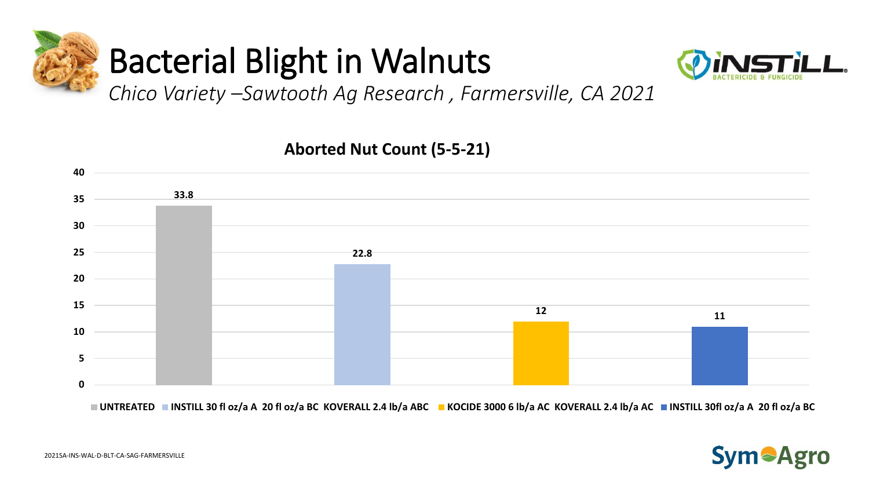



*Chico Variety –Sawtooth Ag Research , Farmersville, CA 2021* 



**Aborted Nut Count (5-5-21)**